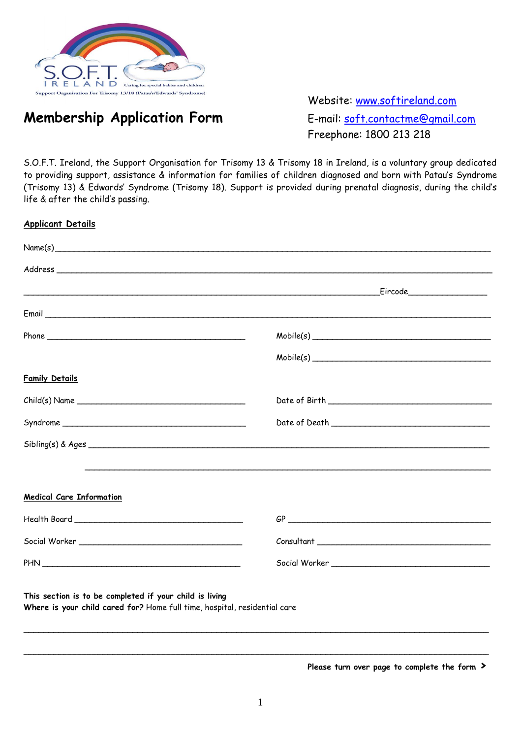

## **Membership Application Form** E-mail: **soft.contactme@gmail.com**

Website: [www.softireland.com](http://www.softireland.com/) Freephone: 1800 213 218

S.O.F.T. Ireland, the Support Organisation for Trisomy 13 & Trisomy 18 in Ireland, is a voluntary group dedicated to providing support, assistance & information for families of children diagnosed and born with Patau's Syndrome (Trisomy 13) & Edwards' Syndrome (Trisomy 18). Support is provided during prenatal diagnosis, during the child's life & after the child's passing.

| <b>Applicant Details</b>                                                                                                             |                                                                                                                                                                                                                                                                                                                                                                                                                                                                                                                        |
|--------------------------------------------------------------------------------------------------------------------------------------|------------------------------------------------------------------------------------------------------------------------------------------------------------------------------------------------------------------------------------------------------------------------------------------------------------------------------------------------------------------------------------------------------------------------------------------------------------------------------------------------------------------------|
| Name(s)                                                                                                                              |                                                                                                                                                                                                                                                                                                                                                                                                                                                                                                                        |
|                                                                                                                                      |                                                                                                                                                                                                                                                                                                                                                                                                                                                                                                                        |
|                                                                                                                                      |                                                                                                                                                                                                                                                                                                                                                                                                                                                                                                                        |
|                                                                                                                                      |                                                                                                                                                                                                                                                                                                                                                                                                                                                                                                                        |
|                                                                                                                                      | ${\sf Mobile}(s)$                                                                                                                                                                                                                                                                                                                                                                                                                                                                                                      |
|                                                                                                                                      | ${\sf Mobile}(s)$                                                                                                                                                                                                                                                                                                                                                                                                                                                                                                      |
| <b>Family Details</b>                                                                                                                |                                                                                                                                                                                                                                                                                                                                                                                                                                                                                                                        |
|                                                                                                                                      |                                                                                                                                                                                                                                                                                                                                                                                                                                                                                                                        |
|                                                                                                                                      |                                                                                                                                                                                                                                                                                                                                                                                                                                                                                                                        |
|                                                                                                                                      |                                                                                                                                                                                                                                                                                                                                                                                                                                                                                                                        |
|                                                                                                                                      |                                                                                                                                                                                                                                                                                                                                                                                                                                                                                                                        |
| <b>Medical Care Information</b>                                                                                                      |                                                                                                                                                                                                                                                                                                                                                                                                                                                                                                                        |
|                                                                                                                                      |                                                                                                                                                                                                                                                                                                                                                                                                                                                                                                                        |
|                                                                                                                                      | $\begin{minipage}[c]{0.9\linewidth} \hline \textbf{Consultant} \textbf{\textcolor{red}{\textbf{1}}\textcolor{red}{\textbf{1}}\textcolor{red}{\textbf{1}}\textcolor{red}{\textbf{1}}\textcolor{red}{\textbf{1}}\textcolor{red}{\textbf{1}}\textcolor{red}{\textbf{1}}\textcolor{red}{\textbf{1}}\textcolor{red}{\textbf{1}}\textcolor{red}{\textbf{1}}\textcolor{red}{\textbf{1}}\textcolor{red}{\textbf{1}}\textcolor{red}{\textbf{1}}\textcolor{red}{\textbf{1}}\textcolor{red}{\textbf{1}}\textcolor{red}{\textbf{1$ |
|                                                                                                                                      |                                                                                                                                                                                                                                                                                                                                                                                                                                                                                                                        |
| This section is to be completed if your child is living<br>Where is your child cared for? Home full time, hospital, residential care |                                                                                                                                                                                                                                                                                                                                                                                                                                                                                                                        |
|                                                                                                                                      |                                                                                                                                                                                                                                                                                                                                                                                                                                                                                                                        |

**Please turn over page to complete the form ›**

\_\_\_\_\_\_\_\_\_\_\_\_\_\_\_\_\_\_\_\_\_\_\_\_\_\_\_\_\_\_\_\_\_\_\_\_\_\_\_\_\_\_\_\_\_\_\_\_\_\_\_\_\_\_\_\_\_\_\_\_\_\_\_\_\_\_\_\_\_\_\_\_\_\_\_\_\_\_\_\_\_\_\_\_\_\_\_\_\_\_\_\_\_\_